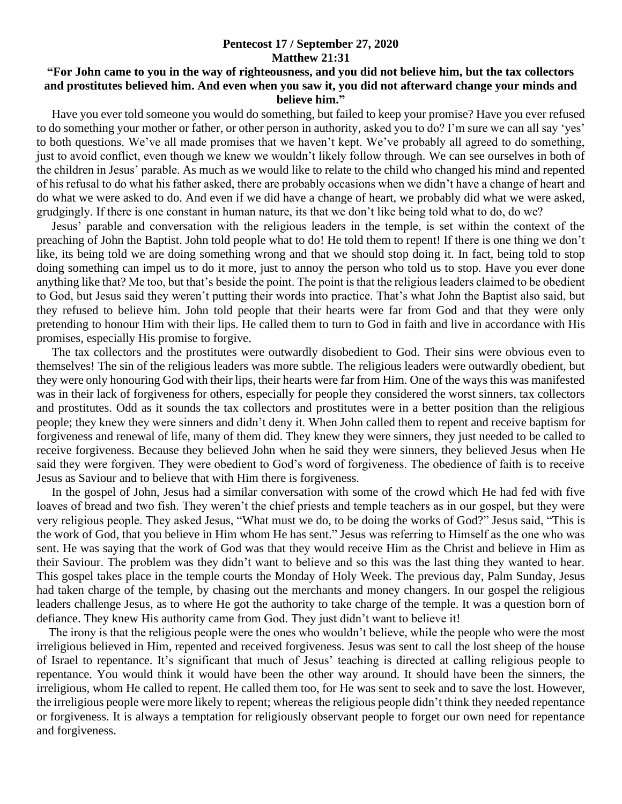## **Pentecost 17 / September 27, 2020 Matthew 21:31**

## **"For John came to you in the way of righteousness, and you did not believe him, but the tax collectors and prostitutes believed him. And even when you saw it, you did not afterward change your minds and believe him."**

 Have you ever told someone you would do something, but failed to keep your promise? Have you ever refused to do something your mother or father, or other person in authority, asked you to do? I'm sure we can all say 'yes' to both questions. We've all made promises that we haven't kept. We've probably all agreed to do something, just to avoid conflict, even though we knew we wouldn't likely follow through. We can see ourselves in both of the children in Jesus' parable. As much as we would like to relate to the child who changed his mind and repented of his refusal to do what his father asked, there are probably occasions when we didn't have a change of heart and do what we were asked to do. And even if we did have a change of heart, we probably did what we were asked, grudgingly. If there is one constant in human nature, its that we don't like being told what to do, do we?

 Jesus' parable and conversation with the religious leaders in the temple, is set within the context of the preaching of John the Baptist. John told people what to do! He told them to repent! If there is one thing we don't like, its being told we are doing something wrong and that we should stop doing it. In fact, being told to stop doing something can impel us to do it more, just to annoy the person who told us to stop. Have you ever done anything like that? Me too, but that's beside the point. The point is that the religious leaders claimed to be obedient to God, but Jesus said they weren't putting their words into practice. That's what John the Baptist also said, but they refused to believe him. John told people that their hearts were far from God and that they were only pretending to honour Him with their lips. He called them to turn to God in faith and live in accordance with His promises, especially His promise to forgive.

 The tax collectors and the prostitutes were outwardly disobedient to God. Their sins were obvious even to themselves! The sin of the religious leaders was more subtle. The religious leaders were outwardly obedient, but they were only honouring God with their lips, their hearts were far from Him. One of the ways this was manifested was in their lack of forgiveness for others, especially for people they considered the worst sinners, tax collectors and prostitutes. Odd as it sounds the tax collectors and prostitutes were in a better position than the religious people; they knew they were sinners and didn't deny it. When John called them to repent and receive baptism for forgiveness and renewal of life, many of them did. They knew they were sinners, they just needed to be called to receive forgiveness. Because they believed John when he said they were sinners, they believed Jesus when He said they were forgiven. They were obedient to God's word of forgiveness. The obedience of faith is to receive Jesus as Saviour and to believe that with Him there is forgiveness.

 In the gospel of John, Jesus had a similar conversation with some of the crowd which He had fed with five loaves of bread and two fish. They weren't the chief priests and temple teachers as in our gospel, but they were very religious people. They asked Jesus, "What must we do, to be doing the works of God?" Jesus said, "This is the work of God, that you believe in Him whom He has sent." Jesus was referring to Himself as the one who was sent. He was saying that the work of God was that they would receive Him as the Christ and believe in Him as their Saviour. The problem was they didn't want to believe and so this was the last thing they wanted to hear. This gospel takes place in the temple courts the Monday of Holy Week. The previous day, Palm Sunday, Jesus had taken charge of the temple, by chasing out the merchants and money changers. In our gospel the religious leaders challenge Jesus, as to where He got the authority to take charge of the temple. It was a question born of defiance. They knew His authority came from God. They just didn't want to believe it!

 The irony is that the religious people were the ones who wouldn't believe, while the people who were the most irreligious believed in Him, repented and received forgiveness. Jesus was sent to call the lost sheep of the house of Israel to repentance. It's significant that much of Jesus' teaching is directed at calling religious people to repentance. You would think it would have been the other way around. It should have been the sinners, the irreligious, whom He called to repent. He called them too, for He was sent to seek and to save the lost. However, the irreligious people were more likely to repent; whereas the religious people didn't think they needed repentance or forgiveness. It is always a temptation for religiously observant people to forget our own need for repentance and forgiveness.